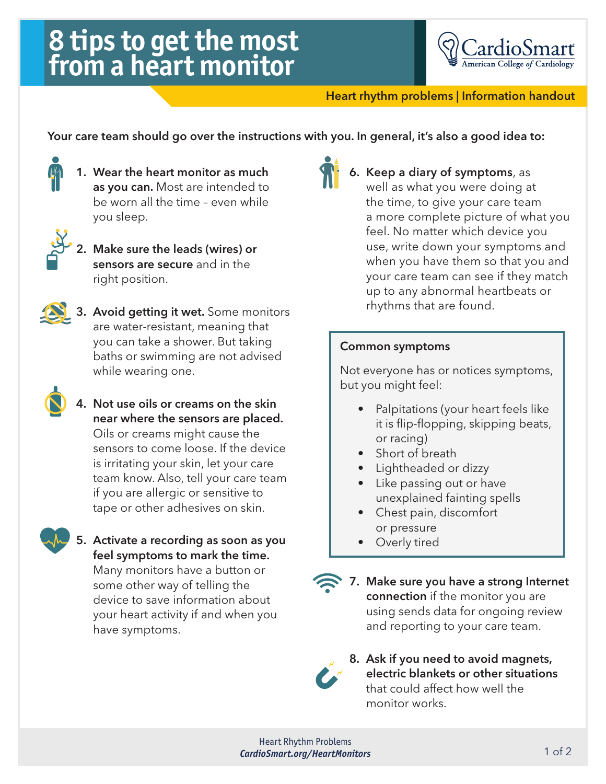## **8 tips to get the most from a heart monitor**



Heart rhythm problems | Information handout

Your care team should go over the instructions with you. In general, it's also a good idea to:



1. Wear the heart monitor as much as you can. Most are intended to be worn all the time – even while you sleep.



2. Make sure the leads (wires) or sensors are secure and in the right position.



3. Avoid getting it wet. Some monitors are water-resistant, meaning that you can take a shower. But taking baths or swimming are not advised while wearing one.



4. Not use oils or creams on the skin near where the sensors are placed. Oils or creams might cause the sensors to come loose. If the device is irritating your skin, let your care team know. Also, tell your care team if you are allergic or sensitive to tape or other adhesives on skin.



5. Activate a recording as soon as you feel symptoms to mark the time. Many monitors have a button or

some other way of telling the device to save information about your heart activity if and when you have symptoms.



6. Keep a diary of symptoms, as well as what you were doing at the time, to give your care team a more complete picture of what you feel. No matter which device you use, write down your symptoms and when you have them so that you and your care team can see if they match up to any abnormal heartbeats or rhythms that are found.

## Common symptoms

Not everyone has or notices symptoms, but you might feel:

- Palpitations (your heart feels like it is flip-flopping, skipping beats, or racing)
- Short of breath
- Lightheaded or dizzy
- Like passing out or have unexplained fainting spells
- Chest pain, discomfort or pressure
- Overly tired



7. Make sure you have a strong Internet connection if the monitor you are using sends data for ongoing review and reporting to your care team.



8. Ask if you need to avoid magnets, electric blankets or other situations that could affect how well the monitor works.